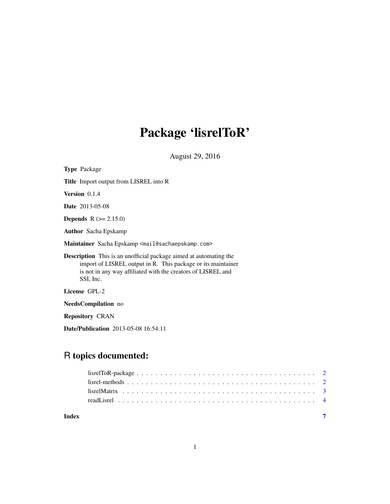# Package 'lisrelToR'

August 29, 2016

| <b>Type Package</b>                                                                                                                                                                                                   |  |  |
|-----------------------------------------------------------------------------------------------------------------------------------------------------------------------------------------------------------------------|--|--|
| <b>Title</b> Import output from LISREL into R                                                                                                                                                                         |  |  |
| <b>Version</b> $0.1.4$                                                                                                                                                                                                |  |  |
| <b>Date</b> 2013-05-08                                                                                                                                                                                                |  |  |
| <b>Depends</b> $R (= 2.15.0)$                                                                                                                                                                                         |  |  |
| <b>Author</b> Sacha Epskamp                                                                                                                                                                                           |  |  |
| Maintainer Sacha Epskamp <mail@sachaepskamp.com></mail@sachaepskamp.com>                                                                                                                                              |  |  |
| <b>Description</b> This is an unofficial package aimed at automating the<br>import of LISREL output in R. This package or its maintainer<br>is not in any way affiliated with the creators of LISREL and<br>SSI, Inc. |  |  |
| License GPL-2                                                                                                                                                                                                         |  |  |
| <b>NeedsCompilation</b> no                                                                                                                                                                                            |  |  |
| <b>Repository CRAN</b>                                                                                                                                                                                                |  |  |
|                                                                                                                                                                                                                       |  |  |

# Date/Publication 2013-05-08 16:54:11

# R topics documented:

| Index |  |
|-------|--|
|       |  |
|       |  |
|       |  |
|       |  |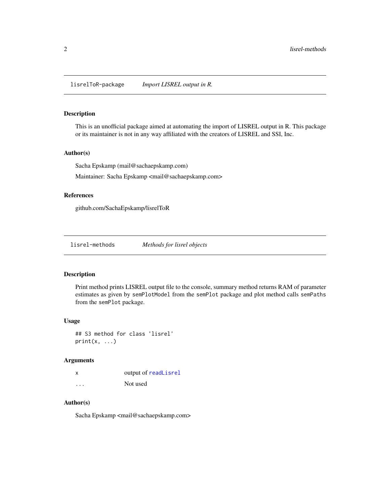<span id="page-1-0"></span>lisrelToR-package *Import LISREL output in R.*

#### Description

This is an unofficial package aimed at automating the import of LISREL output in R. This package or its maintainer is not in any way affiliated with the creators of LISREL and SSI, Inc.

#### Author(s)

Sacha Epskamp (mail@sachaepskamp.com)

Maintainer: Sacha Epskamp <mail@sachaepskamp.com>

#### References

github.com/SachaEpskamp/lisrelToR

lisrel-methods *Methods for lisrel objects*

#### Description

Print method prints LISREL output file to the console, summary method returns RAM of parameter estimates as given by semPlotModel from the semPlot package and plot method calls semPaths from the semPlot package.

#### Usage

## S3 method for class 'lisrel'  $print(x, \ldots)$ 

### Arguments

| x        | output of readLisrel |
|----------|----------------------|
| $\cdots$ | Not used             |

### Author(s)

Sacha Epskamp <mail@sachaepskamp.com>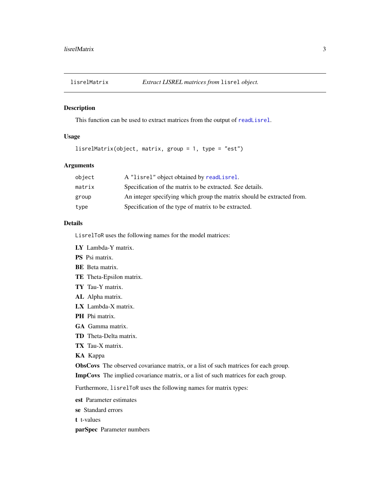<span id="page-2-1"></span><span id="page-2-0"></span>

### Description

This function can be used to extract matrices from the output of [readLisrel](#page-3-1).

### Usage

lisrelMatrix(object, matrix, group = 1, type = "est")

#### Arguments

| object | A "lisrel" object obtained by readLisrel.                              |
|--------|------------------------------------------------------------------------|
| matrix | Specification of the matrix to be extracted. See details.              |
| group  | An integer specifying which group the matrix should be extracted from. |
| type   | Specification of the type of matrix to be extracted.                   |

#### Details

LisrelToR uses the following names for the model matrices:

LY Lambda-Y matrix.

PS Psi matrix.

- BE Beta matrix.
- TE Theta-Epsilon matrix.
- TY Tau-Y matrix.
- AL Alpha matrix.
- LX Lambda-X matrix.
- PH Phi matrix.
- GA Gamma matrix.
- TD Theta-Delta matrix.
- TX Tau-X matrix.
- KA Kappa

ObsCovs The observed covariance matrix, or a list of such matrices for each group.

ImpCovs The implied covariance matrix, or a list of such matrices for each group.

Furthermore, lisrelToR uses the following names for matrix types:

- est Parameter estimates
- se Standard errors

t t-values

parSpec Parameter numbers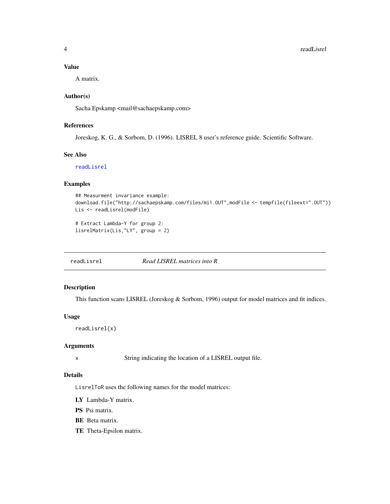#### <span id="page-3-0"></span>Value

A matrix.

## Author(s)

Sacha Epskamp <mail@sachaepskamp.com>

### References

Joreskog, K. G., & Sorbom, D. (1996). LISREL 8 user's reference guide. Scientific Software.

#### See Also

[readLisrel](#page-3-1)

#### Examples

```
## Measurment invariance example:
download.file("http://sachaepskamp.com/files/mi1.OUT",modFile <- tempfile(fileext=".OUT"))
Lis <- readLisrel(modFile)
```

```
# Extract Lambda-Y for group 2:
lisrelMatrix(Lis,"LY", group = 2)
```
<span id="page-3-1"></span>readLisrel *Read LISREL matrices into R*

## Description

This function scans LISREL (Joreskog & Sorbom, 1996) output for model matrices and fit indices.

#### Usage

```
readLisrel(x)
```
#### Arguments

x String indicating the location of a LISREL output file.

### Details

LisrelToR uses the following names for the model matrices:

- LY Lambda-Y matrix.
- PS Psi matrix.
- BE Beta matrix.
- TE Theta-Epsilon matrix.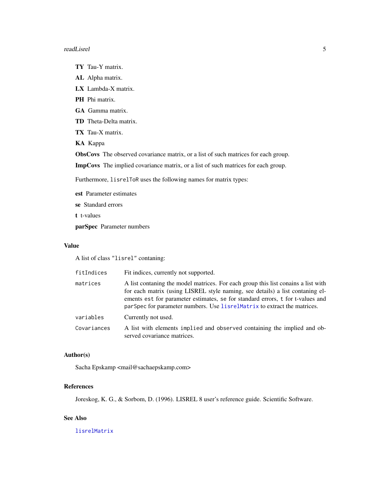#### <span id="page-4-0"></span>readLisrel 5

- TY Tau-Y matrix.
- AL Alpha matrix.
- LX Lambda-X matrix.
- PH Phi matrix.
- GA Gamma matrix.
- TD Theta-Delta matrix.
- TX Tau-X matrix.
- KA Kappa
- ObsCovs The observed covariance matrix, or a list of such matrices for each group.

ImpCovs The implied covariance matrix, or a list of such matrices for each group.

Furthermore, lisrelToR uses the following names for matrix types:

est Parameter estimates

- se Standard errors
- t t-values

parSpec Parameter numbers

#### Value

A list of class "lisrel" contaning:

| fitIndices  | Fit indices, currently not supported.                                                                                                                                                                                                                                                                                            |
|-------------|----------------------------------------------------------------------------------------------------------------------------------------------------------------------------------------------------------------------------------------------------------------------------------------------------------------------------------|
| matrices    | A list contaning the model matrices. For each group this list conains a list with<br>for each matrix (using LISREL style naming, see details) a list contaning el-<br>ements est for parameter estimates, se for standard errors, t for t-values and<br>parSpec for parameter numbers. Use lisrelMatrix to extract the matrices. |
| variables   | Currently not used.                                                                                                                                                                                                                                                                                                              |
| Covariances | A list with elements implied and observed containing the implied and ob-<br>served covariance matrices.                                                                                                                                                                                                                          |

#### Author(s)

Sacha Epskamp <mail@sachaepskamp.com>

#### References

Joreskog, K. G., & Sorbom, D. (1996). LISREL 8 user's reference guide. Scientific Software.

# See Also

[lisrelMatrix](#page-2-1)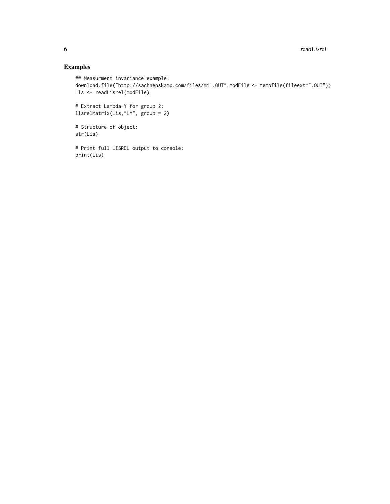# Examples

```
## Measurment invariance example:
download.file("http://sachaepskamp.com/files/mi1.OUT",modFile <- tempfile(fileext=".OUT"))
Lis <- readLisrel(modFile)
# Extract Lambda-Y for group 2:
lisrelMatrix(Lis,"LY", group = 2)
# Structure of object:
str(Lis)
# Print full LISREL output to console:
print(Lis)
```